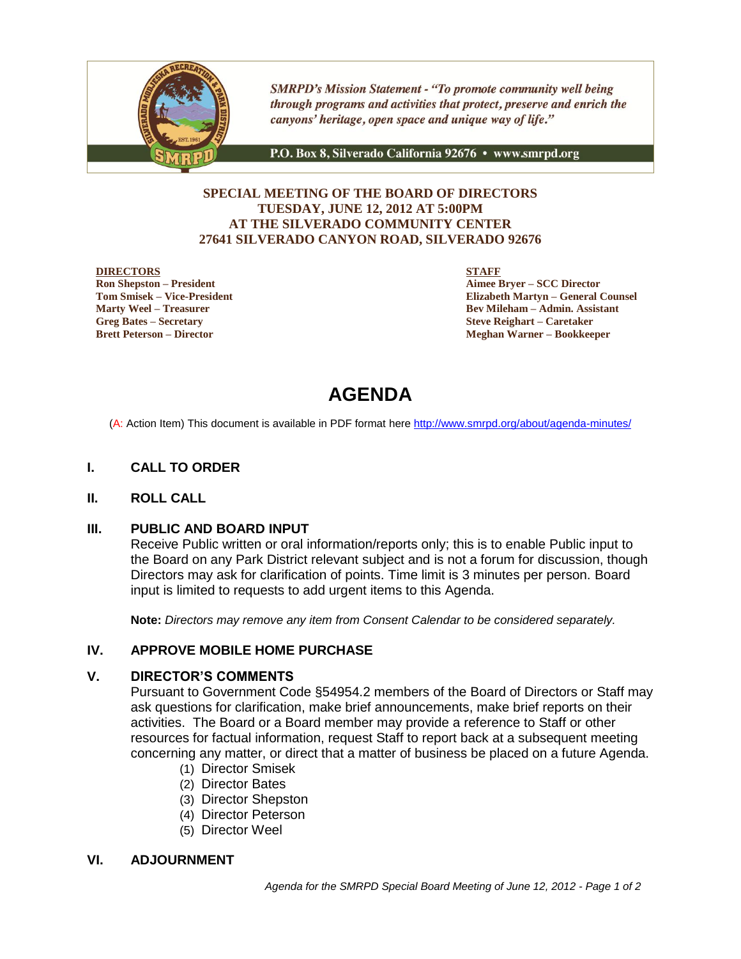

**SMRPD's Mission Statement - "To promote community well being** through programs and activities that protect, preserve and enrich the canyons' heritage, open space and unique way of life."

P.O. Box 8, Silverado California 92676 · www.smrpd.org

## **SPECIAL MEETING OF THE BOARD OF DIRECTORS TUESDAY, JUNE 12, 2012 AT 5:00PM AT THE SILVERADO COMMUNITY CENTER 27641 SILVERADO CANYON ROAD, SILVERADO 92676**

#### **DIRECTORS**

**Ron Shepston – President Tom Smisek – Vice-President Marty Weel – Treasurer Greg Bates – Secretary Brett Peterson – Director**

**STAFF**

**Aimee Bryer – SCC Director Elizabeth Martyn – General Counsel Bev Mileham – Admin. Assistant Steve Reighart – Caretaker Meghan Warner – Bookkeeper**

# **AGENDA**

(A: Action Item) This document is available in PDF format here <http://www.smrpd.org/>about/agenda-minutes/

## **I. CALL TO ORDER**

#### **II. ROLL CALL**

#### **III. PUBLIC AND BOARD INPUT**

Receive Public written or oral information/reports only; this is to enable Public input to the Board on any Park District relevant subject and is not a forum for discussion, though Directors may ask for clarification of points. Time limit is 3 minutes per person. Board input is limited to requests to add urgent items to this Agenda.

**Note:** *Directors may remove any item from Consent Calendar to be considered separately.*

## **IV. APPROVE MOBILE HOME PURCHASE**

### **V. DIRECTOR'S COMMENTS**

Pursuant to Government Code §54954.2 members of the Board of Directors or Staff may ask questions for clarification, make brief announcements, make brief reports on their activities. The Board or a Board member may provide a reference to Staff or other resources for factual information, request Staff to report back at a subsequent meeting concerning any matter, or direct that a matter of business be placed on a future Agenda.

- (1) Director Smisek
- (2) Director Bates
- (3) Director Shepston
- (4) Director Peterson
- (5) Director Weel

#### **VI. ADJOURNMENT**